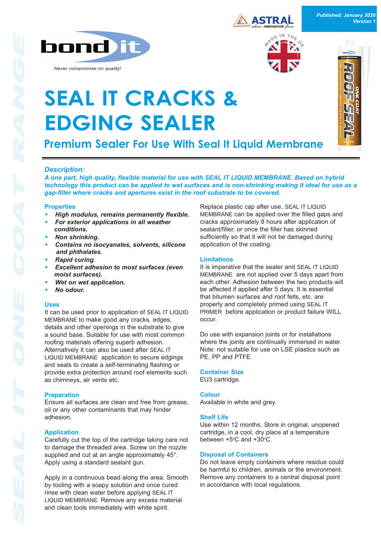

*Never compromise on quality!*



*Published: January 2020 Version 1*

seal) D

a j



# **SEAL IT CRACKS & EDGING SEALER**

**Premium Sealer For Use With Seal It Liquid Membrane**

### *Description:*

*A one part, high quality, flexible material for use with SEAL IT LIQUID MEMBRANE. Based on hybrid technology this product can be applied to wet surfaces and is nonshrinking making it ideal for use as a gapfiller where cracks and apertures exist in the roof substrate to be covered.*

#### **Properties**

- **High modulus, remains permanently flexible.**
- *For exterior applications in all weather conditions.*
- **Non shrinking.**
- Contains no isocyanates, solvents, silicone *and phthalates.*
- **Rapid curing.**
- **Excellent adhesion to most surfaces (even** *moist surfaces).*
- **Wet on wet application.**
- **No odour.**

#### **Uses**

It can be used prior to application of SEAL IT LIQUID MEMBRANE to make good any cracks, edges, details and other openings in the substrate to give a sound base. Suitable for use with most common roofing materials offering superb adhesion. Alternatively it can also be used after SEAL IT LIQUID MEMBRANE application to secure edgings and seals to create a self-terminating flashing or provide extra protection around roof elements such as chimneys, air vents etc.

#### **Preparation**

Ensure all surfaces are clean and free from grease, oil or any other contaminants that may hinder adhesion.

#### **Application**

Carefully cut the top of the cartridge taking care not to damage the threaded area. Screw on the nozzle supplied and cut at an angle approximately 45°. Apply using a standard sealant gun.

Apply in a continuous bead along the area. Smooth by tooling with a soapy solution and once cured rinse with clean water before applying SEAL IT LIQUID MEMBRANE. Remove any excess material and clean tools immediately with white spirit.

Replace plastic cap after use. SEAL IT LIQUID MEMBRANE can be applied over the filled gaps and cracks approximately 8 hours after application of sealant/filler, or once the filler has skinned sufficiently so that it will not be damaged during application of the coating.

#### **Limitations**

It is imperative that the sealer and SEAL IT LIQUID MEMBRANE are not applied over 5 days apart from each other. Adhesion between the two products will be affected if applied after 5 days. It is essential that bitumen surfaces and roof felts, etc. are properly and completely primed using SEAL IT PRIMER before application or product failure WILL occur.

Do use with expansion joints or for installations where the joints are continually immersed in water. Note: not suitable for use on LSE plastics such as PE, PP and PTFE.

#### **Container Size**

EU3 cartridge.

#### **Colour**

Available in white and grey.

#### **Shelf Life**

Use within 12 months. Store in original, unopened cartridge, in a cool, dry place at a temperature between +5°C and +30°C.

#### **Disposal of Containers**

Do not leave empty containers where residue could be harmful to children, animals or the environment. Remove any containers to a central disposal point in accordance with local regulations.